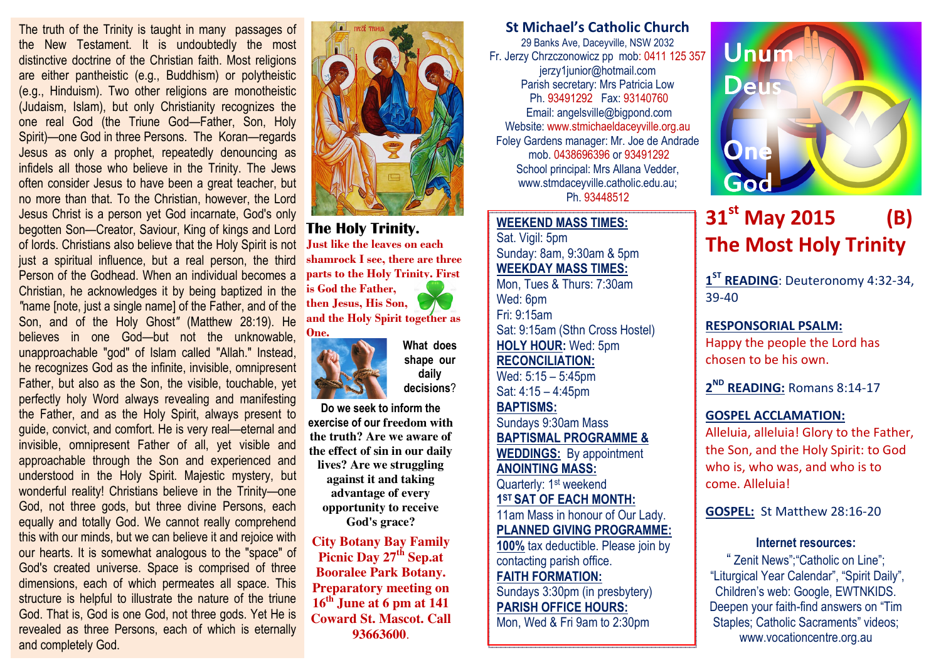The truth of the Trinity is taught in many passages of the New Testament. It is undoubtedly the most distinctive doctrine of the Christian faith. Most religions are either pantheistic (e.g., Buddhism) or polytheistic (e.g., Hinduism). Two other religions are monotheistic (Judaism, Islam), but only Christianity recognizes the one real God (the Triune God—Father, Son, Holy Spirit)—one God in three Persons. The Koran—regards Jesus as only a prophet, repeatedly denouncing as infidels all those who believe in the Trinity. The Jews often consider Jesus to have been a great teacher, but no more than that. To the Christian, however, the Lord Jesus Christ is a person yet God incarnate, God's only begotten Son—Creator, Saviour, King of kings and Lord of lords. Christians also believe that the Holy Spirit is not just a spiritual influence, but a real person, the third Person of the Godhead. When an individual becomes a Christian, he acknowledges it by being baptized in the "name [note, just a single name] of the Father, and of the Son, and of the Holy Ghost" (Matthew 28:19). He believes in one God—but not the unknowable, unapproachable "god" of Islam called "Allah." Instead, he recognizes God as the infinite, invisible, omnipresent Father, but also as the Son, the visible, touchable, yet perfectly holy Word always revealing and manifesting the Father, and as the Holy Spirit, always present to guide, convict, and comfort. He is very real—eternal and invisible, omnipresent Father of all, yet visible and approachable through the Son and experienced and understood in the Holy Spirit. Majestic mystery, but wonderful reality! Christians believe in the Trinity-one God, not three gods, but three divine Persons, each equally and totally God. We cannot really comprehend this with our minds, but we can believe it and rejoice with our hearts. It is somewhat analogous to the "space" of God's created universe. Space is comprised of three dimensions, each of which permeates all space. This structure is helpful to illustrate the nature of the triune God. That is, God is one God, not three gods. Yet He is revealed as three Persons, each of which is eternally and completely God.



The Holy Trinity. Just like the leaves on each shamrock I see, there are three parts to the Holy Trinity. First is God the Father, then Jesus, His Son,

and the Holy Spirit together as



What does shape our daily decisions?

Do we seek to inform the exercise of our **freedom with the truth? Are we aware of the effect of sin in our daily lives? Are we struggling against it and taking advantage of every opportunity to receive God's grace?** 

**City Botany Bay Family Picnic Day 27<sup>th</sup> Sep.at Booralee Park Botany. Preparatory meeting on 16th June at 6 pm at 141 Coward St. Mascot. Call 93663600**.

# St Michael's Catholic Church

29 Banks Ave, Daceyville, NSW 2032 Fr. Jerzy Chrzczonowicz pp mob: 0411 125 357jerzy1junior@hotmail.com Parish secretary: Mrs Patricia Low Ph. 93491292 Fax: 93140760 Email: angelsville@bigpond.com Website: www.stmichaeldaceyville.org.au Foley Gardens manager: Mr. Joe de Andrade mob. 0438696396 or 93491292 School principal: Mrs Allana Vedder, www.stmdaceyville.catholic.edu.au; Ph. 93448512

### WEEKEND MASS TIMES:

Sat. Vigil: 5pm Sunday: 8am, 9:30am & 5pm WEEKDAY MASS TIMES: Mon, Tues & Thurs: 7:30am Wed: 6pm Fri: 9:15am

 Sat: 9:15am (Sthn Cross Hostel) HOLY HOUR: Wed: 5pm RECONCILIATION: Wed: 5:15 – 5:45pm Sat: 4:15 – 4:45pm

BAPTISMS: Sundays 9:30am Mass BAPTISMAL PROGRAMME & WEDDINGS: By appointment ANOINTING MASS: Quarterly: 1<sup>st</sup> weekend 1ST SAT OF EACH MONTH: 11am Mass in honour of Our Lady. PLANNED GIVING PROGRAMME: 100% tax deductible. Please join by contacting parish office. FAITH FORMATION: Sundays 3:30pm (in presbytery) PARISH OFFICE HOURS: Mon, Wed & Fri 9am to 2:30pm



# $31^{\text{st}}$  May 2015 (B) The Most Holy Trinity

1<sup>ST</sup> READING: Deuteronomy 4:32-34, 39-40

RESPONSORIAL PSALM: Happy the people the Lord has chosen to be his own.

2<sup>ND</sup> READING: Romans 8:14-17

## GOSPEL ACCLAMATION:

Alleluia, alleluia! Glory to the Father, the Son, and the Holy Spirit: to God who is, who was, and who is to come. Alleluia!

GOSPEL: St Matthew 28:16-20

### Internet resources:

" Zenit News";"Catholic on Line"; "Liturgical Year Calendar", "Spirit Daily", Children's web: Google, EWTNKIDS. Deepen your faith-find answers on "Tim Staples; Catholic Sacraments" videos; www.vocationcentre.org.au